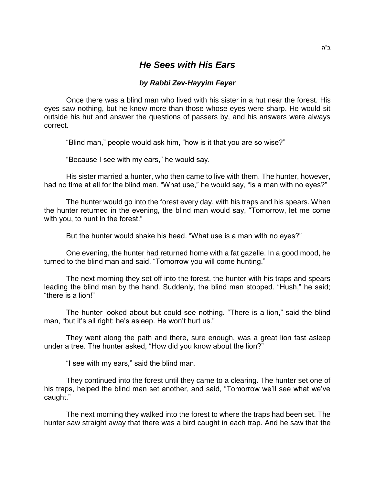## *He Sees with His Ears*

## *by Rabbi Zev-Hayyim Feyer*

Once there was a blind man who lived with his sister in a hut near the forest. His eyes saw nothing, but he knew more than those whose eyes were sharp. He would sit outside his hut and answer the questions of passers by, and his answers were always correct.

"Blind man," people would ask him, "how is it that you are so wise?"

"Because I see with my ears," he would say.

His sister married a hunter, who then came to live with them. The hunter, however, had no time at all for the blind man. "What use," he would say, "is a man with no eyes?"

The hunter would go into the forest every day, with his traps and his spears. When the hunter returned in the evening, the blind man would say, "Tomorrow, let me come with you, to hunt in the forest."

But the hunter would shake his head. "What use is a man with no eyes?"

One evening, the hunter had returned home with a fat gazelle. In a good mood, he turned to the blind man and said, "Tomorrow you will come hunting."

The next morning they set off into the forest, the hunter with his traps and spears leading the blind man by the hand. Suddenly, the blind man stopped. "Hush," he said; "there is a lion!"

The hunter looked about but could see nothing. "There is a lion," said the blind man, "but it's all right; he's asleep. He won't hurt us."

They went along the path and there, sure enough, was a great lion fast asleep under a tree. The hunter asked, "How did you know about the lion?"

"I see with my ears," said the blind man.

They continued into the forest until they came to a clearing. The hunter set one of his traps, helped the blind man set another, and said, "Tomorrow we'll see what we've caught."

The next morning they walked into the forest to where the traps had been set. The hunter saw straight away that there was a bird caught in each trap. And he saw that the